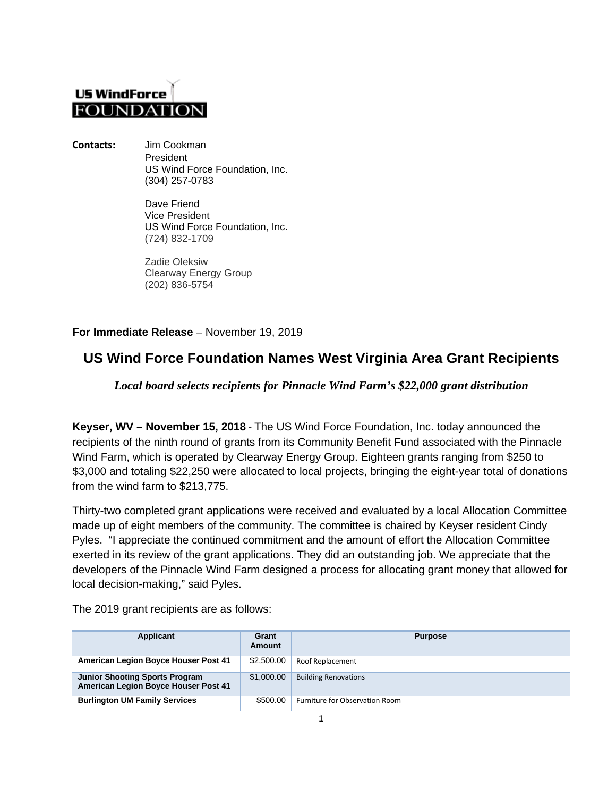# **US WindForce FOUNDAT**

**Contacts:** Jim Cookman President US Wind Force Foundation, Inc. (304) 257-0783

> Dave Friend Vice President US Wind Force Foundation, Inc. (724) 832-1709

Zadie Oleksiw Clearway Energy Group (202) 836-5754

### **For Immediate Release** – November 19, 2019

## **US Wind Force Foundation Names West Virginia Area Grant Recipients**

### *Local board selects recipients for Pinnacle Wind Farm's \$22,000 grant distribution*

**Keyser, WV – November 15, 2018** - The US Wind Force Foundation, Inc. today announced the recipients of the ninth round of grants from its Community Benefit Fund associated with the Pinnacle Wind Farm, which is operated by Clearway Energy Group. Eighteen grants ranging from \$250 to \$3,000 and totaling \$22,250 were allocated to local projects, bringing the eight-year total of donations from the wind farm to \$213,775.

Thirty-two completed grant applications were received and evaluated by a local Allocation Committee made up of eight members of the community. The committee is chaired by Keyser resident Cindy Pyles. "I appreciate the continued commitment and the amount of effort the Allocation Committee exerted in its review of the grant applications. They did an outstanding job. We appreciate that the developers of the Pinnacle Wind Farm designed a process for allocating grant money that allowed for local decision-making," said Pyles.

| Applicant                                                                            | Grant<br>Amount | <b>Purpose</b>                 |
|--------------------------------------------------------------------------------------|-----------------|--------------------------------|
| <b>American Legion Boyce Houser Post 41</b>                                          | \$2,500.00      | Roof Replacement               |
| <b>Junior Shooting Sports Program</b><br><b>American Legion Boyce Houser Post 41</b> | \$1,000.00      | <b>Building Renovations</b>    |
| <b>Burlington UM Family Services</b>                                                 | \$500.00        | Furniture for Observation Room |

The 2019 grant recipients are as follows: